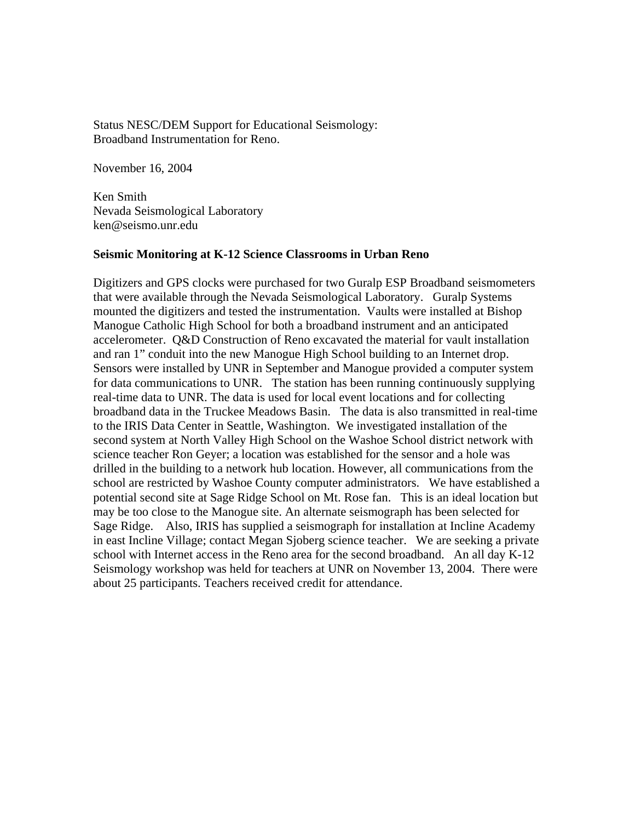Status NESC/DEM Support for Educational Seismology: Broadband Instrumentation for Reno.

November 16, 2004

Ken Smith Nevada Seismological Laboratory ken@seismo.unr.edu

## **Seismic Monitoring at K-12 Science Classrooms in Urban Reno**

Digitizers and GPS clocks were purchased for two Guralp ESP Broadband seismometers that were available through the Nevada Seismological Laboratory. Guralp Systems mounted the digitizers and tested the instrumentation. Vaults were installed at Bishop Manogue Catholic High School for both a broadband instrument and an anticipated accelerometer. Q&D Construction of Reno excavated the material for vault installation and ran 1" conduit into the new Manogue High School building to an Internet drop. Sensors were installed by UNR in September and Manogue provided a computer system for data communications to UNR. The station has been running continuously supplying real-time data to UNR. The data is used for local event locations and for collecting broadband data in the Truckee Meadows Basin. The data is also transmitted in real-time to the IRIS Data Center in Seattle, Washington. We investigated installation of the second system at North Valley High School on the Washoe School district network with science teacher Ron Geyer; a location was established for the sensor and a hole was drilled in the building to a network hub location. However, all communications from the school are restricted by Washoe County computer administrators. We have established a potential second site at Sage Ridge School on Mt. Rose fan. This is an ideal location but may be too close to the Manogue site. An alternate seismograph has been selected for Sage Ridge. Also, IRIS has supplied a seismograph for installation at Incline Academy in east Incline Village; contact Megan Sjoberg science teacher. We are seeking a private school with Internet access in the Reno area for the second broadband. An all day K-12 Seismology workshop was held for teachers at UNR on November 13, 2004. There were about 25 participants. Teachers received credit for attendance.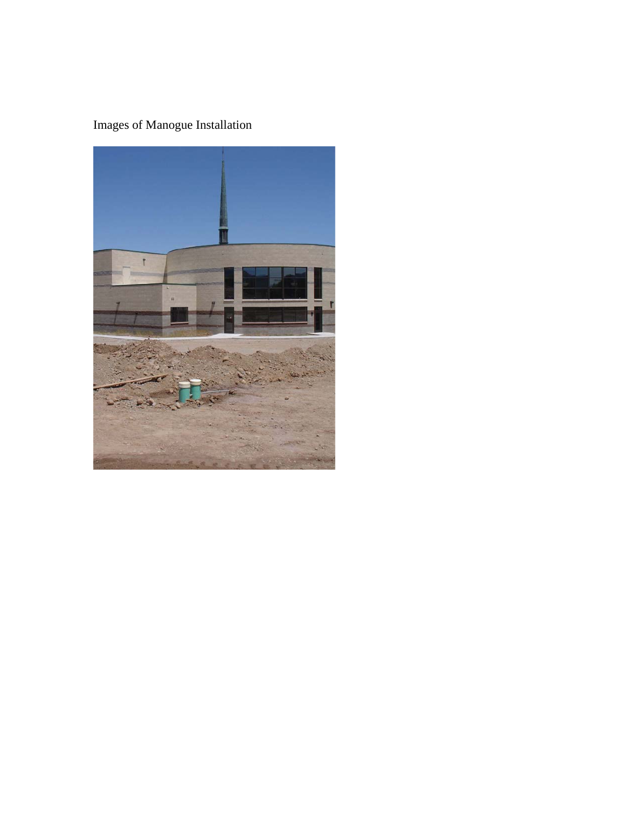## Images of Manogue Installation